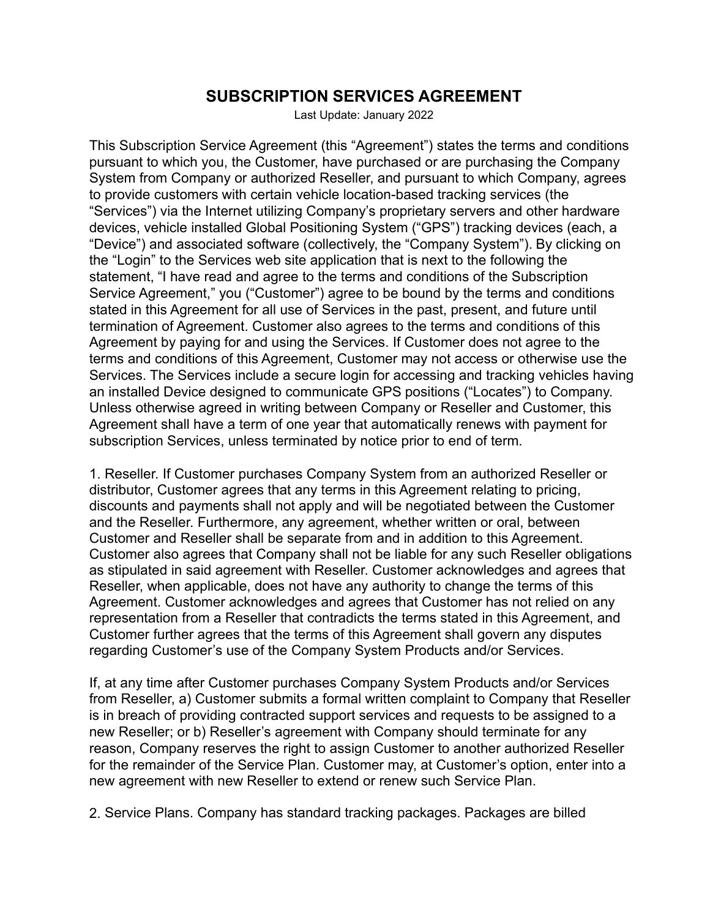## **SUBSCRIPTION SERVICES AGREEMENT**

Last Update: January 2022

This Subscription Service Agreement (this "Agreement") states the terms and conditions pursuant to which you, the Customer, have purchased or are purchasing the Company System from Company or authorized Reseller, and pursuant to which Company, agrees to provide customers with certain vehicle location-based tracking services (the "Services") via the Internet utilizing Company's proprietary servers and other hardware devices, vehicle installed Global Positioning System ("GPS") tracking devices (each, a "Device") and associated software (collectively, the "Company System"). By clicking on the "Login" to the Services web site application that is next to the following the statement, "I have read and agree to the terms and conditions of the Subscription Service Agreement," you ("Customer") agree to be bound by the terms and conditions stated in this Agreement for all use of Services in the past, present, and future until termination of Agreement. Customer also agrees to the terms and conditions of this Agreement by paying for and using the Services. If Customer does not agree to the terms and conditions of this Agreement, Customer may not access or otherwise use the Services. The Services include a secure login for accessing and tracking vehicles having an installed Device designed to communicate GPS positions ("Locates") to Company. Unless otherwise agreed in writing between Company or Reseller and Customer, this Agreement shall have a term of one year that automatically renews with payment for subscription Services, unless terminated by notice prior to end of term.

1. Reseller. If Customer purchases Company System from an authorized Reseller or distributor, Customer agrees that any terms in this Agreement relating to pricing, discounts and payments shall not apply and will be negotiated between the Customer and the Reseller. Furthermore, any agreement, whether written or oral, between Customer and Reseller shall be separate from and in addition to this Agreement. Customer also agrees that Company shall not be liable for any such Reseller obligations as stipulated in said agreement with Reseller. Customer acknowledges and agrees that Reseller, when applicable, does not have any authority to change the terms of this Agreement. Customer acknowledges and agrees that Customer has not relied on any representation from a Reseller that contradicts the terms stated in this Agreement, and Customer further agrees that the terms of this Agreement shall govern any disputes regarding Customer's use of the Company System Products and/or Services.

If, at any time after Customer purchases Company System Products and/or Services from Reseller, a) Customer submits a formal written complaint to Company that Reseller is in breach of providing contracted support services and requests to be assigned to a new Reseller; or b) Reseller's agreement with Company should terminate for any reason, Company reserves the right to assign Customer to another authorized Reseller for the remainder of the Service Plan. Customer may, at Customer's option, enter into a new agreement with new Reseller to extend or renew such Service Plan.

2. Service Plans. Company has standard tracking packages. Packages are billed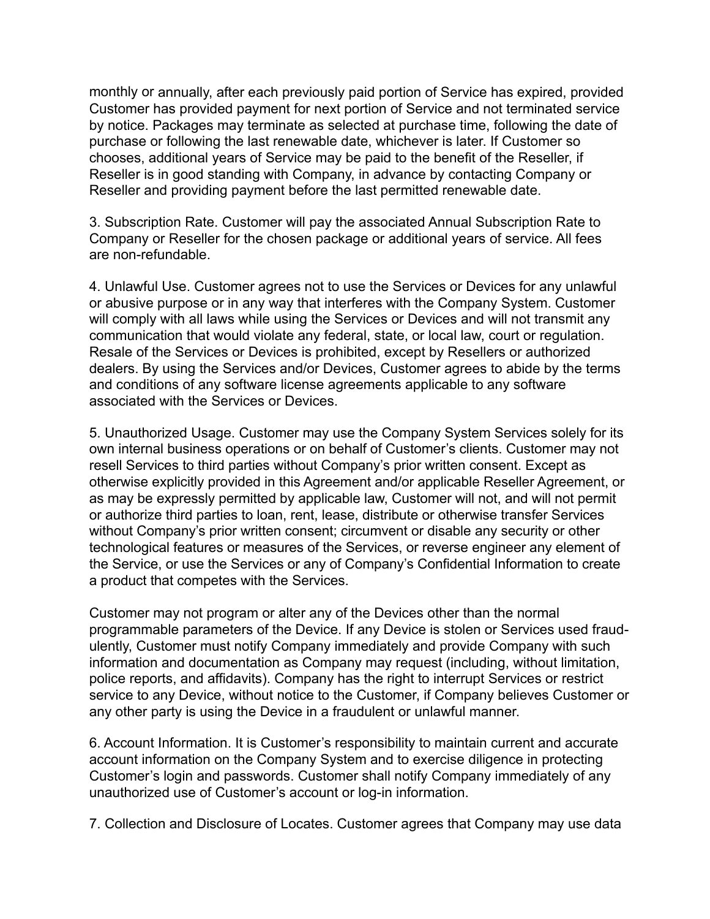monthly or annually, after each previously paid portion of Service has expired, provided Customer has provided payment for next portion of Service and not terminated service by notice. Packages may terminate as selected at purchase time, following the date of purchase or following the last renewable date, whichever is later. If Customer so chooses, additional years of Service may be paid to the benefit of the Reseller, if Reseller is in good standing with Company, in advance by contacting Company or Reseller and providing payment before the last permitted renewable date.

3. Subscription Rate. Customer will pay the associated Annual Subscription Rate to Company or Reseller for the chosen package or additional years of service. All fees are non-refundable.

4. Unlawful Use. Customer agrees not to use the Services or Devices for any unlawful or abusive purpose or in any way that interferes with the Company System. Customer will comply with all laws while using the Services or Devices and will not transmit any communication that would violate any federal, state, or local law, court or regulation. Resale of the Services or Devices is prohibited, except by Resellers or authorized dealers. By using the Services and/or Devices, Customer agrees to abide by the terms and conditions of any software license agreements applicable to any software associated with the Services or Devices.

5. Unauthorized Usage. Customer may use the Company System Services solely for its own internal business operations or on behalf of Customer's clients. Customer may not resell Services to third parties without Company's prior written consent. Except as otherwise explicitly provided in this Agreement and/or applicable Reseller Agreement, or as may be expressly permitted by applicable law, Customer will not, and will not permit or authorize third parties to loan, rent, lease, distribute or otherwise transfer Services without Company's prior written consent; circumvent or disable any security or other technological features or measures of the Services, or reverse engineer any element of the Service, or use the Services or any of Company's Confidential Information to create a product that competes with the Services.

Customer may not program or alter any of the Devices other than the normal programmable parameters of the Device. If any Device is stolen or Services used fraudulently, Customer must notify Company immediately and provide Company with such information and documentation as Company may request (including, without limitation, police reports, and affidavits). Company has the right to interrupt Services or restrict service to any Device, without notice to the Customer, if Company believes Customer or any other party is using the Device in a fraudulent or unlawful manner.

6. Account Information. It is Customer's responsibility to maintain current and accurate account information on the Company System and to exercise diligence in protecting Customer's login and passwords. Customer shall notify Company immediately of any unauthorized use of Customer's account or log-in information.

7. Collection and Disclosure of Locates. Customer agrees that Company may use data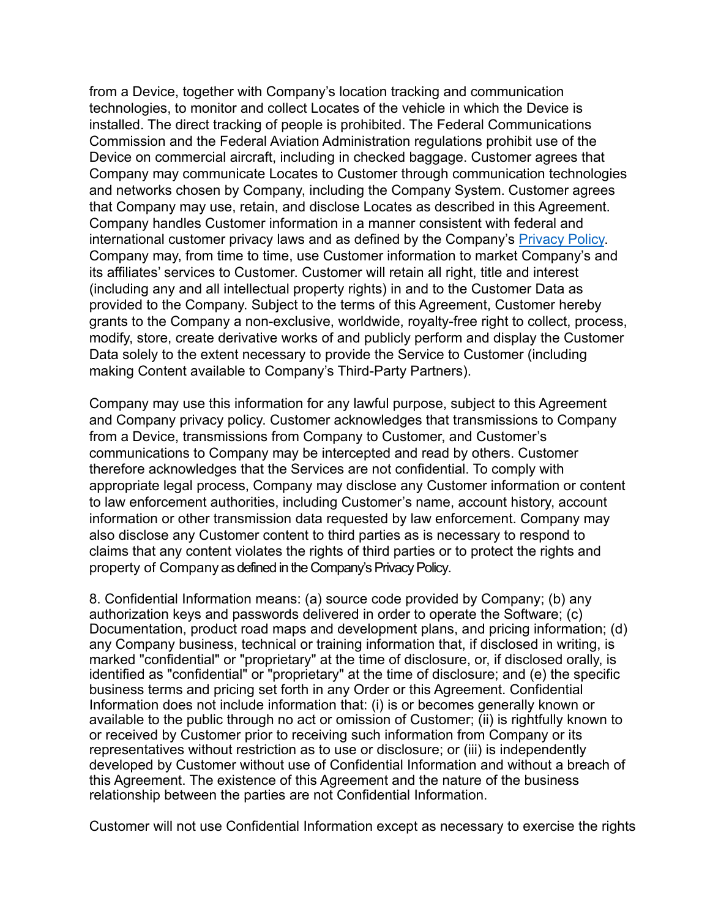from a Device, together with Company's location tracking and communication technologies, to monitor and collect Locates of the vehicle in which the Device is installed. The direct tracking of people is prohibited. The Federal Communications Commission and the Federal Aviation Administration regulations prohibit use of the Device on commercial aircraft, including in checked baggage. Customer agrees that Company may communicate Locates to Customer through communication technologies and networks chosen by Company, including the Company System. Customer agrees that Company may use, retain, and disclose Locates as described in this Agreement. Company handles Customer information in a manner consistent with federal and international customer privacy laws and as defined by the Company's Privacy Policy. Company may, from time to time, use Customer information to market Company's and its affiliates' services to Customer. Customer will retain all right, title and interest (including any and all intellectual property rights) in and to the Customer Data as provided to the Company. Subject to the terms of this Agreement, Customer hereby grants to the Company a non-exclusive, worldwide, royalty-free right to collect, process, modify, store, create derivative works of and publicly perform and display the Customer Data solely to the extent necessary to provide the Service to Customer (including making Content available to Company's Third-Party Partners).

Company may use this information for any lawful purpose, subject to this Agreement and Company privacy policy. Customer acknowledges that transmissions to Company from a Device, transmissions from Company to Customer, and Customer's communications to Company may be intercepted and read by others. Customer therefore acknowledges that the Services are not confidential. To comply with appropriate legal process, Company may disclose any Customer information or content to law enforcement authorities, including Customer's name, account history, account information or other transmission data requested by law enforcement. Company may also disclose any Customer content to third parties as is necessary to respond to claims that any content violates the rights of third parties or to protect the rights and property of Company as defined in the Company's Privacy Policy.

8. Confidential Information means: (a) source code provided by Company; (b) any authorization keys and passwords delivered in order to operate the Software; (c) Documentation, product road maps and development plans, and pricing information; (d) any Company business, technical or training information that, if disclosed in writing, is marked "confidential" or "proprietary" at the time of disclosure, or, if disclosed orally, is identified as "confidential" or "proprietary" at the time of disclosure; and (e) the specific business terms and pricing set forth in any Order or this Agreement. Confidential Information does not include information that: (i) is or becomes generally known or available to the public through no act or omission of Customer; (ii) is rightfully known to or received by Customer prior to receiving such information from Company or its representatives without restriction as to use or disclosure; or (iii) is independently developed by Customer without use of Confidential Information and without a breach of this Agreement. The existence of this Agreement and the nature of the business relationship between the parties are not Confidential Information.

Customer will not use Confidential Information except as necessary to exercise the rights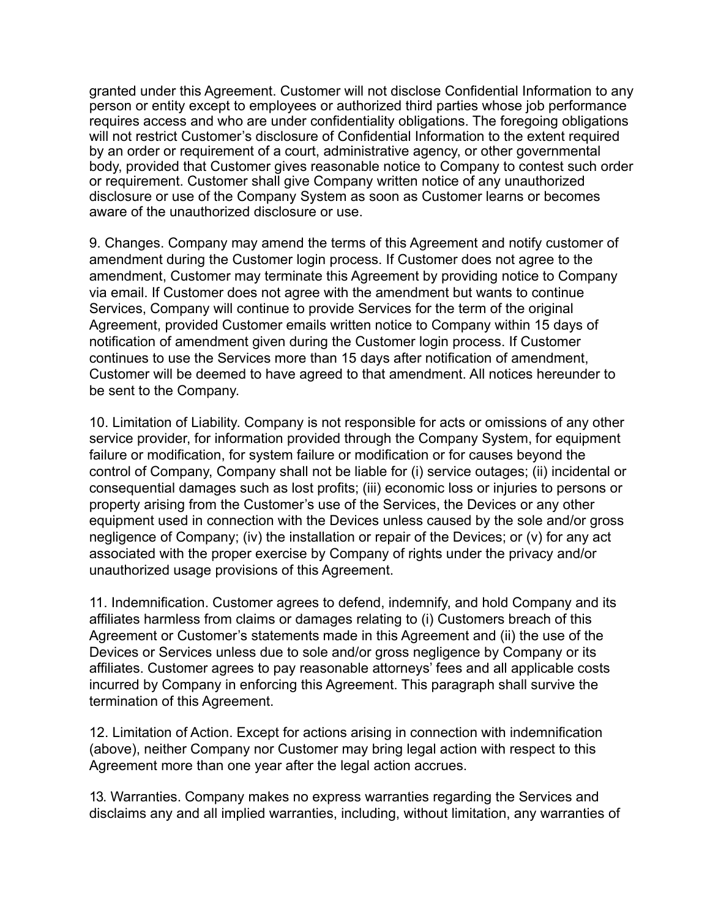granted under this Agreement. Customer will not disclose Confidential Information to any person or entity except to employees or authorized third parties whose job performance requires access and who are under confidentiality obligations. The foregoing obligations will not restrict Customer's disclosure of Confidential Information to the extent required by an order or requirement of a court, administrative agency, or other governmental body, provided that Customer gives reasonable notice to Company to contest such order or requirement. Customer shall give Company written notice of any unauthorized disclosure or use of the Company System as soon as Customer learns or becomes aware of the unauthorized disclosure or use.

9. Changes. Company may amend the terms of this Agreement and notify customer of amendment during the Customer login process. If Customer does not agree to the amendment, Customer may terminate this Agreement by providing notice to Company via email. If Customer does not agree with the amendment but wants to continue Services, Company will continue to provide Services for the term of the original Agreement, provided Customer emails written notice to Company within 15 days of notification of amendment given during the Customer login process. If Customer continues to use the Services more than 15 days after notification of amendment, Customer will be deemed to have agreed to that amendment. All notices hereunder to be sent to the Company.

10. Limitation of Liability. Company is not responsible for acts or omissions of any other service provider, for information provided through the Company System, for equipment failure or modification, for system failure or modification or for causes beyond the control of Company, Company shall not be liable for (i) service outages; (ii) incidental or consequential damages such as lost profits; (iii) economic loss or injuries to persons or property arising from the Customer's use of the Services, the Devices or any other equipment used in connection with the Devices unless caused by the sole and/or gross negligence of Company; (iv) the installation or repair of the Devices; or (v) for any act associated with the proper exercise by Company of rights under the privacy and/or unauthorized usage provisions of this Agreement.

11. Indemnification. Customer agrees to defend, indemnify, and hold Company and its affiliates harmless from claims or damages relating to (i) Customers breach of this Agreement or Customer's statements made in this Agreement and (ii) the use of the Devices or Services unless due to sole and/or gross negligence by Company or its affiliates. Customer agrees to pay reasonable attorneys' fees and all applicable costs incurred by Company in enforcing this Agreement. This paragraph shall survive the termination of this Agreement.

12. Limitation of Action. Except for actions arising in connection with indemnification (above), neither Company nor Customer may bring legal action with respect to this Agreement more than one year after the legal action accrues.

13. Warranties. Company makes no express warranties regarding the Services and disclaims any and all implied warranties, including, without limitation, any warranties of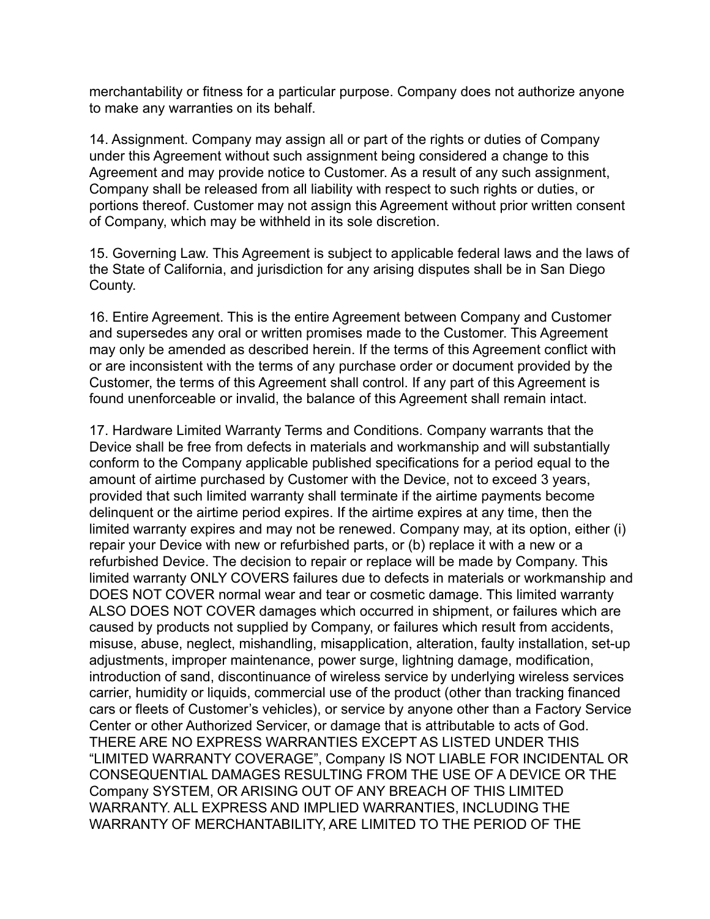merchantability or fitness for a particular purpose. Company does not authorize anyone to make any warranties on its behalf.

14. Assignment. Company may assign all or part of the rights or duties of Company under this Agreement without such assignment being considered a change to this Agreement and may provide notice to Customer. As a result of any such assignment, Company shall be released from all liability with respect to such rights or duties, or portions thereof. Customer may not assign this Agreement without prior written consent of Company, which may be withheld in its sole discretion.

15. Governing Law. This Agreement is subject to applicable federal laws and the laws of the State of California, and jurisdiction for any arising disputes shall be in San Diego County.

16. Entire Agreement. This is the entire Agreement between Company and Customer and supersedes any oral or written promises made to the Customer. This Agreement may only be amended as described herein. If the terms of this Agreement conflict with or are inconsistent with the terms of any purchase order or document provided by the Customer, the terms of this Agreement shall control. If any part of this Agreement is found unenforceable or invalid, the balance of this Agreement shall remain intact.

17. Hardware Limited Warranty Terms and Conditions. Company warrants that the Device shall be free from defects in materials and workmanship and will substantially conform to the Company applicable published specifications for a period equal to the amount of airtime purchased by Customer with the Device, not to exceed 3 years, provided that such limited warranty shall terminate if the airtime payments become delinquent or the airtime period expires. If the airtime expires at any time, then the limited warranty expires and may not be renewed. Company may, at its option, either (i) repair your Device with new or refurbished parts, or (b) replace it with a new or a refurbished Device. The decision to repair or replace will be made by Company. This limited warranty ONLY COVERS failures due to defects in materials or workmanship and DOES NOT COVER normal wear and tear or cosmetic damage. This limited warranty ALSO DOES NOT COVER damages which occurred in shipment, or failures which are caused by products not supplied by Company, or failures which result from accidents, misuse, abuse, neglect, mishandling, misapplication, alteration, faulty installation, set-up adjustments, improper maintenance, power surge, lightning damage, modification, introduction of sand, discontinuance of wireless service by underlying wireless services carrier, humidity or liquids, commercial use of the product (other than tracking financed cars or fleets of Customer's vehicles), or service by anyone other than a Factory Service Center or other Authorized Servicer, or damage that is attributable to acts of God. THERE ARE NO EXPRESS WARRANTIES EXCEPT AS LISTED UNDER THIS "LIMITED WARRANTY COVERAGE", Company IS NOT LIABLE FOR INCIDENTAL OR CONSEQUENTIAL DAMAGES RESULTING FROM THE USE OF A DEVICE OR THE Company SYSTEM, OR ARISING OUT OF ANY BREACH OF THIS LIMITED WARRANTY. ALL EXPRESS AND IMPLIED WARRANTIES, INCLUDING THE WARRANTY OF MERCHANTABILITY, ARE LIMITED TO THE PERIOD OF THE